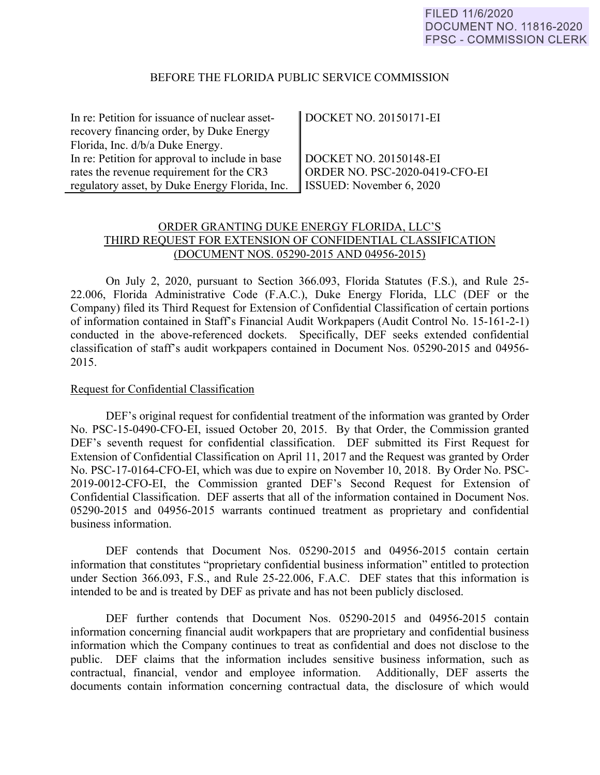#### BEFORE THE FLORIDA PUBLIC SERVICE COMMISSION

| In re: Petition for issuance of nuclear asset-  | DOCKET NO. 20150171-EI         |
|-------------------------------------------------|--------------------------------|
| recovery financing order, by Duke Energy        |                                |
| Florida, Inc. d/b/a Duke Energy.                |                                |
| In re: Petition for approval to include in base | DOCKET NO. 20150148-EI         |
| rates the revenue requirement for the CR3       | ORDER NO. PSC-2020-0419-CFO-EI |
| regulatory asset, by Duke Energy Florida, Inc.  | ISSUED: November $6, 2020$     |

# ORDER GRANTING DUKE ENERGY FLORIDA, LLC'S THIRD REQUEST FOR EXTENSION OF CONFIDENTIAL CLASSIFICATION (DOCUMENT NOS. 05290-2015 AND 04956-2015)

On July 2, 2020, pursuant to Section 366.093, Florida Statutes (F.S.), and Rule 25- 22.006, Florida Administrative Code (F.A.C.), Duke Energy Florida, LLC (DEF or the Company) filed its Third Request for Extension of Confidential Classification of certain portions of information contained in Staff's Financial Audit Workpapers (Audit Control No. 15-161-2-1) conducted in the above-referenced dockets. Specifically, DEF seeks extended confidential classification of staff's audit workpapers contained in Document Nos. 05290-2015 and 04956- 2015.

#### Request for Confidential Classification

 DEF's original request for confidential treatment of the information was granted by Order No. PSC-15-0490-CFO-EI, issued October 20, 2015. By that Order, the Commission granted DEF's seventh request for confidential classification. DEF submitted its First Request for Extension of Confidential Classification on April 11, 2017 and the Request was granted by Order No. PSC-17-0164-CFO-EI, which was due to expire on November 10, 2018. By Order No. PSC-2019-0012-CFO-EI, the Commission granted DEF's Second Request for Extension of Confidential Classification. DEF asserts that all of the information contained in Document Nos. 05290-2015 and 04956-2015 warrants continued treatment as proprietary and confidential business information.

 DEF contends that Document Nos. 05290-2015 and 04956-2015 contain certain information that constitutes "proprietary confidential business information" entitled to protection under Section 366.093, F.S., and Rule 25-22.006, F.A.C. DEF states that this information is intended to be and is treated by DEF as private and has not been publicly disclosed.

DEF further contends that Document Nos. 05290-2015 and 04956-2015 contain information concerning financial audit workpapers that are proprietary and confidential business information which the Company continues to treat as confidential and does not disclose to the public. DEF claims that the information includes sensitive business information, such as contractual, financial, vendor and employee information. Additionally, DEF asserts the documents contain information concerning contractual data, the disclosure of which would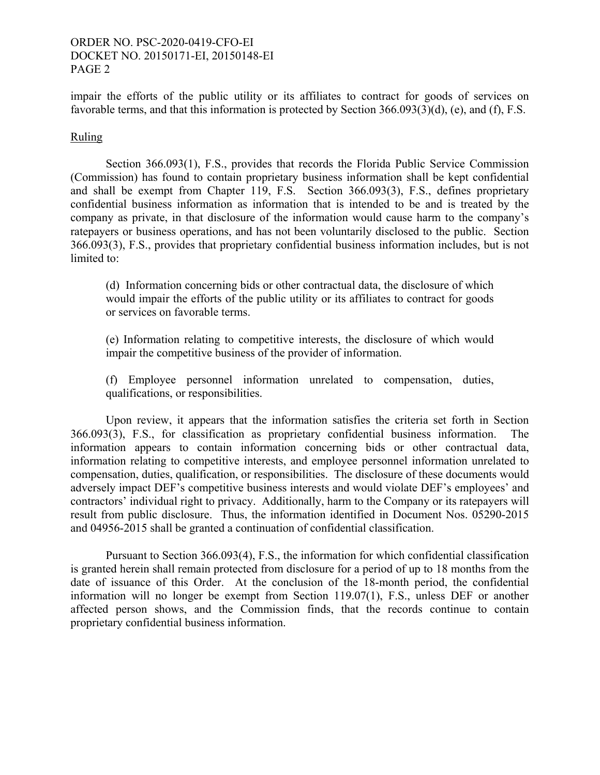## ORDER NO. PSC-2020-0419-CFO-EI DOCKET NO. 20150171-EI, 20150148-EI PAGE 2

impair the efforts of the public utility or its affiliates to contract for goods of services on favorable terms, and that this information is protected by Section 366.093(3)(d), (e), and (f), F.S.

## Ruling

Section 366.093(1), F.S., provides that records the Florida Public Service Commission (Commission) has found to contain proprietary business information shall be kept confidential and shall be exempt from Chapter 119, F.S. Section 366.093(3), F.S., defines proprietary confidential business information as information that is intended to be and is treated by the company as private, in that disclosure of the information would cause harm to the company's ratepayers or business operations, and has not been voluntarily disclosed to the public. Section 366.093(3), F.S., provides that proprietary confidential business information includes, but is not limited to:

(d) Information concerning bids or other contractual data, the disclosure of which would impair the efforts of the public utility or its affiliates to contract for goods or services on favorable terms.

(e) Information relating to competitive interests, the disclosure of which would impair the competitive business of the provider of information.

(f) Employee personnel information unrelated to compensation, duties, qualifications, or responsibilities.

 Upon review, it appears that the information satisfies the criteria set forth in Section 366.093(3), F.S., for classification as proprietary confidential business information. The information appears to contain information concerning bids or other contractual data, information relating to competitive interests, and employee personnel information unrelated to compensation, duties, qualification, or responsibilities. The disclosure of these documents would adversely impact DEF's competitive business interests and would violate DEF's employees' and contractors' individual right to privacy. Additionally, harm to the Company or its ratepayers will result from public disclosure. Thus, the information identified in Document Nos. 05290-2015 and 04956-2015 shall be granted a continuation of confidential classification.

 Pursuant to Section 366.093(4), F.S., the information for which confidential classification is granted herein shall remain protected from disclosure for a period of up to 18 months from the date of issuance of this Order. At the conclusion of the 18-month period, the confidential information will no longer be exempt from Section 119.07(1), F.S., unless DEF or another affected person shows, and the Commission finds, that the records continue to contain proprietary confidential business information.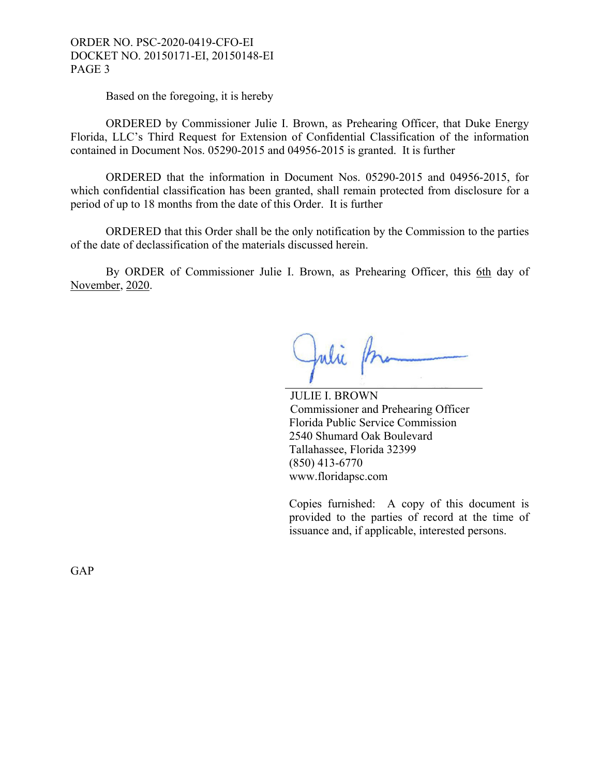### ORDER NO. PSC-2020-0419-CFO-EI DOCKET NO. 20150171-EI, 20150148-EI PAGE 3

Based on the foregoing, it is hereby

ORDERED by Commissioner Julie I. Brown, as Prehearing Officer, that Duke Energy Florida, LLC's Third Request for Extension of Confidential Classification of the information contained in Document Nos. 05290-2015 and 04956-2015 is granted. It is further

 ORDERED that the information in Document Nos. 05290-2015 and 04956-2015, for which confidential classification has been granted, shall remain protected from disclosure for a period of up to 18 months from the date of this Order. It is further

ORDERED that this Order shall be the only notification by the Commission to the parties of the date of declassification of the materials discussed herein.

By ORDER of Commissioner Julie I. Brown, as Prehearing Officer, this 6th day of November, 2020.

Julie P.

 JULIE I. BROWN Commissioner and Prehearing Officer Florida Public Service Commission 2540 Shumard Oak Boulevard Tallahassee, Florida 32399 (850) 413-6770 www.floridapsc.com

Copies furnished: A copy of this document is provided to the parties of record at the time of issuance and, if applicable, interested persons.